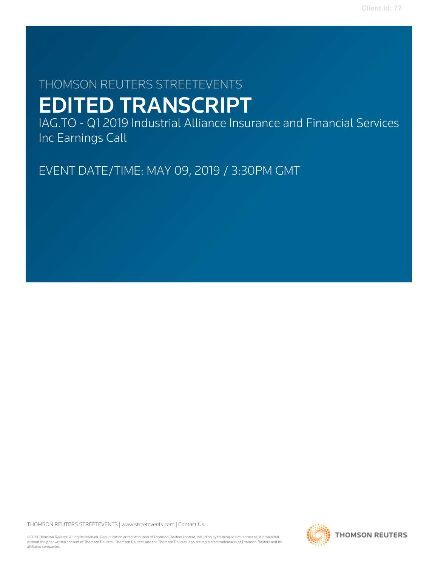# THOMSON REUTERS STREETEVENTS EDITED TRANSCRIPT

IAG.TO - Q1 2019 Industrial Alliance Insurance and Financial Services Inc Earnings Call

EVENT DATE/TIME: MAY 09, 2019 / 3:30PM GMT

THOMSON REUTERS STREETEVENTS | [www.streetevents.com](http://www.streetevents.com) | [Contact Us](http://www010.streetevents.com/contact.asp)

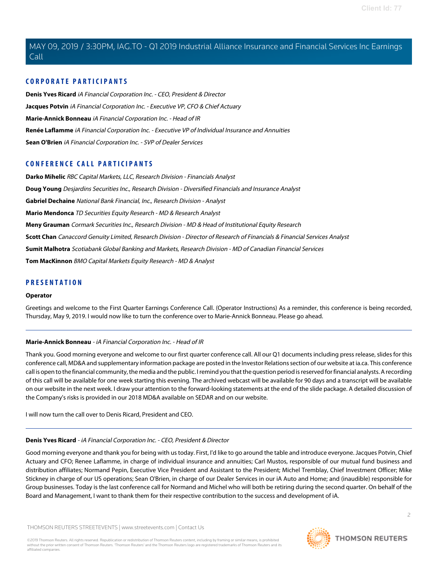## **CORPORATE PARTICIPANTS**

**[Denis Yves Ricard](#page-1-0)** iA Financial Corporation Inc. - CEO, President & Director **[Jacques Potvin](#page-2-0)** iA Financial Corporation Inc. - Executive VP, CFO & Chief Actuary **[Marie-Annick Bonneau](#page-1-1)** iA Financial Corporation Inc. - Head of IR **[Renée Laflamme](#page-14-0)** iA Financial Corporation Inc. - Executive VP of Individual Insurance and Annuities **[Sean O'Brien](#page-3-0)** iA Financial Corporation Inc. - SVP of Dealer Services

# **CONFERENCE CALL PARTICIPANTS**

**[Darko Mihelic](#page-14-1)** RBC Capital Markets, LLC, Research Division - Financials Analyst **[Doug Young](#page-8-0)** Desjardins Securities Inc., Research Division - Diversified Financials and Insurance Analyst **[Gabriel Dechaine](#page-4-0)** National Bank Financial, Inc., Research Division - Analyst **[Mario Mendonca](#page-11-0)** TD Securities Equity Research - MD & Research Analyst **[Meny Grauman](#page-3-1)** Cormark Securities Inc., Research Division - MD & Head of Institutional Equity Research **[Scott Chan](#page-13-0)** Canaccord Genuity Limited, Research Division - Director of Research of Financials & Financial Services Analyst **[Sumit Malhotra](#page-5-0)** Scotiabank Global Banking and Markets, Research Division - MD of Canadian Financial Services **[Tom MacKinnon](#page-10-0)** BMO Capital Markets Equity Research - MD & Analyst

## **PRESENTATION**

#### **Operator**

<span id="page-1-1"></span>Greetings and welcome to the First Quarter Earnings Conference Call. (Operator Instructions) As a reminder, this conference is being recorded, Thursday, May 9, 2019. I would now like to turn the conference over to Marie-Annick Bonneau. Please go ahead.

#### **Marie-Annick Bonneau** - iA Financial Corporation Inc. - Head of IR

Thank you. Good morning everyone and welcome to our first quarter conference call. All our Q1 documents including press release, slides for this conference call, MD&A and supplementary information package are posted in the Investor Relations section of our website at ia.ca. This conference call is open to the financial community, the media and the public. I remind you that the question period is reserved for financial analysts. A recording of this call will be available for one week starting this evening. The archived webcast will be available for 90 days and a transcript will be available on our website in the next week. I draw your attention to the forward-looking statements at the end of the slide package. A detailed discussion of the Company's risks is provided in our 2018 MD&A available on SEDAR and on our website.

<span id="page-1-0"></span>I will now turn the call over to Denis Ricard, President and CEO.

#### **Denis Yves Ricard** - iA Financial Corporation Inc. - CEO, President & Director

Good morning everyone and thank you for being with us today. First, I'd like to go around the table and introduce everyone. Jacques Potvin, Chief Actuary and CFO; Renee Laflamme, in charge of individual insurance and annuities; Carl Mustos, responsible of our mutual fund business and distribution affiliates; Normand Pepin, Executive Vice President and Assistant to the President; Michel Tremblay, Chief Investment Officer; Mike Stickney in charge of our US operations; Sean O'Brien, in charge of our Dealer Services in our iA Auto and Home; and (inaudible) responsible for Group businesses. Today is the last conference call for Normand and Michel who will both be retiring during the second quarter. On behalf of the Board and Management, I want to thank them for their respective contribution to the success and development of iA.



 $\supset$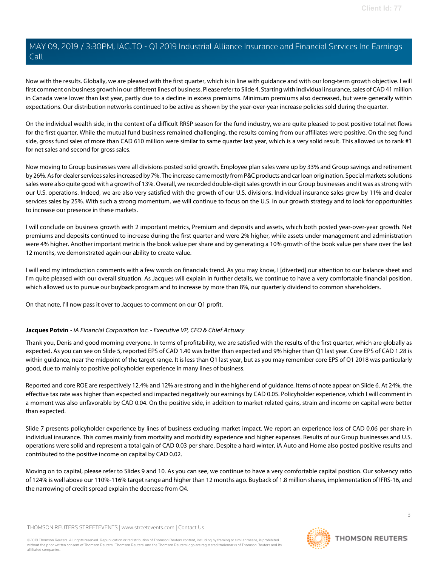Now with the results. Globally, we are pleased with the first quarter, which is in line with guidance and with our long-term growth objective. I will first comment on business growth in our different lines of business. Please refer to Slide 4. Starting with individual insurance, sales of CAD 41 million in Canada were lower than last year, partly due to a decline in excess premiums. Minimum premiums also decreased, but were generally within expectations. Our distribution networks continued to be active as shown by the year-over-year increase policies sold during the quarter.

On the individual wealth side, in the context of a difficult RRSP season for the fund industry, we are quite pleased to post positive total net flows for the first quarter. While the mutual fund business remained challenging, the results coming from our affiliates were positive. On the seg fund side, gross fund sales of more than CAD 610 million were similar to same quarter last year, which is a very solid result. This allowed us to rank #1 for net sales and second for gross sales.

Now moving to Group businesses were all divisions posted solid growth. Employee plan sales were up by 33% and Group savings and retirement by 26%. As for dealer services sales increased by 7%. The increase came mostly from P&C products and car loan origination. Special markets solutions sales were also quite good with a growth of 13%. Overall, we recorded double-digit sales growth in our Group businesses and it was as strong with our U.S. operations. Indeed, we are also very satisfied with the growth of our U.S. divisions. Individual insurance sales grew by 11% and dealer services sales by 25%. With such a strong momentum, we will continue to focus on the U.S. in our growth strategy and to look for opportunities to increase our presence in these markets.

I will conclude on business growth with 2 important metrics, Premium and deposits and assets, which both posted year-over-year growth. Net premiums and deposits continued to increase during the first quarter and were 2% higher, while assets under management and administration were 4% higher. Another important metric is the book value per share and by generating a 10% growth of the book value per share over the last 12 months, we demonstrated again our ability to create value.

I will end my introduction comments with a few words on financials trend. As you may know, I [diverted] our attention to our balance sheet and I'm quite pleased with our overall situation. As Jacques will explain in further details, we continue to have a very comfortable financial position, which allowed us to pursue our buyback program and to increase by more than 8%, our quarterly dividend to common shareholders.

<span id="page-2-0"></span>On that note, I'll now pass it over to Jacques to comment on our Q1 profit.

# **Jacques Potvin** - iA Financial Corporation Inc. - Executive VP, CFO & Chief Actuary

Thank you, Denis and good morning everyone. In terms of profitability, we are satisfied with the results of the first quarter, which are globally as expected. As you can see on Slide 5, reported EPS of CAD 1.40 was better than expected and 9% higher than Q1 last year. Core EPS of CAD 1.28 is within guidance, near the midpoint of the target range. It is less than Q1 last year, but as you may remember core EPS of Q1 2018 was particularly good, due to mainly to positive policyholder experience in many lines of business.

Reported and core ROE are respectively 12.4% and 12% are strong and in the higher end of guidance. Items of note appear on Slide 6. At 24%, the effective tax rate was higher than expected and impacted negatively our earnings by CAD 0.05. Policyholder experience, which I will comment in a moment was also unfavorable by CAD 0.04. On the positive side, in addition to market-related gains, strain and income on capital were better than expected.

Slide 7 presents policyholder experience by lines of business excluding market impact. We report an experience loss of CAD 0.06 per share in individual insurance. This comes mainly from mortality and morbidity experience and higher expenses. Results of our Group businesses and U.S. operations were solid and represent a total gain of CAD 0.03 per share. Despite a hard winter, iA Auto and Home also posted positive results and contributed to the positive income on capital by CAD 0.02.

Moving on to capital, please refer to Slides 9 and 10. As you can see, we continue to have a very comfortable capital position. Our solvency ratio of 124% is well above our 110%-116% target range and higher than 12 months ago. Buyback of 1.8 million shares, implementation of IFRS-16, and the narrowing of credit spread explain the decrease from Q4.

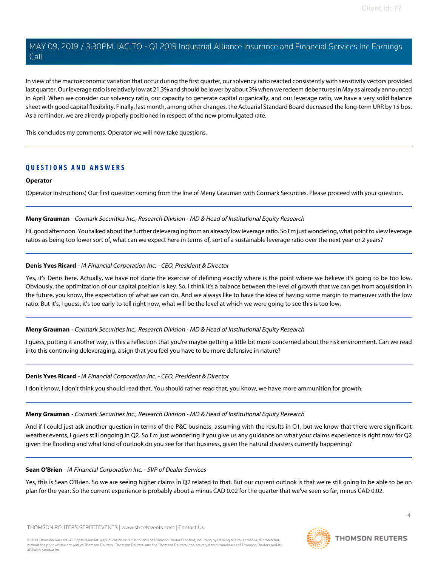In view of the macroeconomic variation that occur during the first quarter, our solvency ratio reacted consistently with sensitivity vectors provided last quarter. Our leverage ratio is relatively low at 21.3% and should be lower by about 3% when we redeem debentures in May as already announced in April. When we consider our solvency ratio, our capacity to generate capital organically, and our leverage ratio, we have a very solid balance sheet with good capital flexibility. Finally, last month, among other changes, the Actuarial Standard Board decreased the long-term URR by 15 bps. As a reminder, we are already properly positioned in respect of the new promulgated rate.

This concludes my comments. Operator we will now take questions.

# **QUESTIONS AND ANSWERS**

#### **Operator**

<span id="page-3-1"></span>(Operator Instructions) Our first question coming from the line of Meny Grauman with Cormark Securities. Please proceed with your question.

#### **Meny Grauman** - Cormark Securities Inc., Research Division - MD & Head of Institutional Equity Research

Hi, good afternoon. You talked about the further deleveraging from an already low leverage ratio. So I'm just wondering, what point to view leverage ratios as being too lower sort of, what can we expect here in terms of, sort of a sustainable leverage ratio over the next year or 2 years?

#### **Denis Yves Ricard** - iA Financial Corporation Inc. - CEO, President & Director

Yes, it's Denis here. Actually, we have not done the exercise of defining exactly where is the point where we believe it's going to be too low. Obviously, the optimization of our capital position is key. So, I think it's a balance between the level of growth that we can get from acquisition in the future, you know, the expectation of what we can do. And we always like to have the idea of having some margin to maneuver with the low ratio. But it's, I guess, it's too early to tell right now, what will be the level at which we were going to see this is too low.

#### **Meny Grauman** - Cormark Securities Inc., Research Division - MD & Head of Institutional Equity Research

I guess, putting it another way, is this a reflection that you're maybe getting a little bit more concerned about the risk environment. Can we read into this continuing deleveraging, a sign that you feel you have to be more defensive in nature?

#### **Denis Yves Ricard** - iA Financial Corporation Inc. - CEO, President & Director

I don't know, I don't think you should read that. You should rather read that, you know, we have more ammunition for growth.

#### **Meny Grauman** - Cormark Securities Inc., Research Division - MD & Head of Institutional Equity Research

<span id="page-3-0"></span>And if I could just ask another question in terms of the P&C business, assuming with the results in Q1, but we know that there were significant weather events, I guess still ongoing in Q2. So I'm just wondering if you give us any guidance on what your claims experience is right now for Q2 given the flooding and what kind of outlook do you see for that business, given the natural disasters currently happening?

#### **Sean O'Brien** - iA Financial Corporation Inc. - SVP of Dealer Services

Yes, this is Sean O'Brien. So we are seeing higher claims in Q2 related to that. But our current outlook is that we're still going to be able to be on plan for the year. So the current experience is probably about a minus CAD 0.02 for the quarter that we've seen so far, minus CAD 0.02.

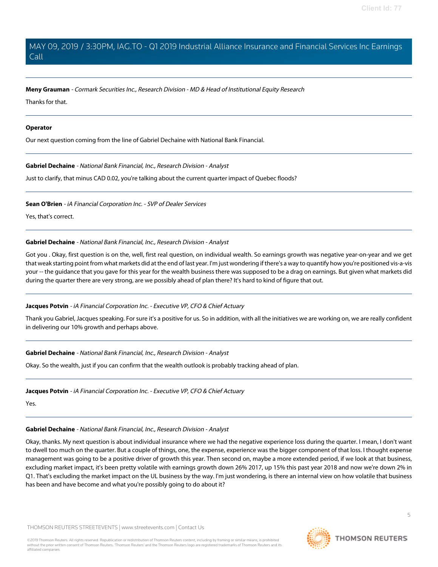#### **Meny Grauman** - Cormark Securities Inc., Research Division - MD & Head of Institutional Equity Research

Thanks for that.

#### **Operator**

<span id="page-4-0"></span>Our next question coming from the line of Gabriel Dechaine with National Bank Financial.

#### **Gabriel Dechaine** - National Bank Financial, Inc., Research Division - Analyst

Just to clarify, that minus CAD 0.02, you're talking about the current quarter impact of Quebec floods?

**Sean O'Brien** - iA Financial Corporation Inc. - SVP of Dealer Services

Yes, that's correct.

#### **Gabriel Dechaine** - National Bank Financial, Inc., Research Division - Analyst

Got you . Okay, first question is on the, well, first real question, on individual wealth. So earnings growth was negative year-on-year and we get that weak starting point from what markets did at the end of last year. I'm just wondering if there's a way to quantify how you're positioned vis-a-vis your -- the guidance that you gave for this year for the wealth business there was supposed to be a drag on earnings. But given what markets did during the quarter there are very strong, are we possibly ahead of plan there? It's hard to kind of figure that out.

#### **Jacques Potvin** - iA Financial Corporation Inc. - Executive VP, CFO & Chief Actuary

Thank you Gabriel, Jacques speaking. For sure it's a positive for us. So in addition, with all the initiatives we are working on, we are really confident in delivering our 10% growth and perhaps above.

#### **Gabriel Dechaine** - National Bank Financial, Inc., Research Division - Analyst

Okay. So the wealth, just if you can confirm that the wealth outlook is probably tracking ahead of plan.

#### **Jacques Potvin** - iA Financial Corporation Inc. - Executive VP, CFO & Chief Actuary

Yes.

#### **Gabriel Dechaine** - National Bank Financial, Inc., Research Division - Analyst

Okay, thanks. My next question is about individual insurance where we had the negative experience loss during the quarter. I mean, I don't want to dwell too much on the quarter. But a couple of things, one, the expense, experience was the bigger component of that loss. I thought expense management was going to be a positive driver of growth this year. Then second on, maybe a more extended period, if we look at that business, excluding market impact, it's been pretty volatile with earnings growth down 26% 2017, up 15% this past year 2018 and now we're down 2% in Q1. That's excluding the market impact on the UL business by the way. I'm just wondering, is there an internal view on how volatile that business has been and have become and what you're possibly going to do about it?

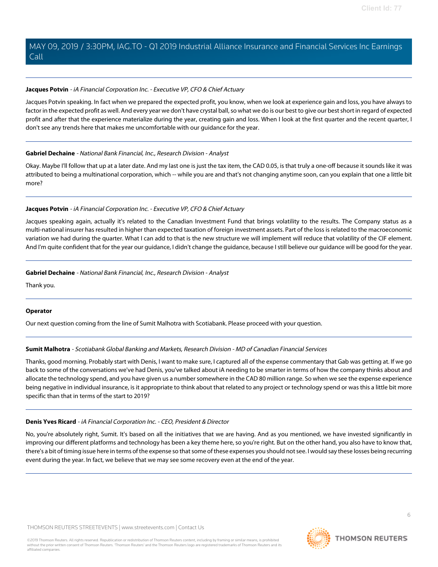### **Jacques Potvin** - iA Financial Corporation Inc. - Executive VP, CFO & Chief Actuary

Jacques Potvin speaking. In fact when we prepared the expected profit, you know, when we look at experience gain and loss, you have always to factor in the expected profit as well. And every year we don't have crystal ball, so what we do is our best to give our best short in regard of expected profit and after that the experience materialize during the year, creating gain and loss. When I look at the first quarter and the recent quarter, I don't see any trends here that makes me uncomfortable with our guidance for the year.

#### **Gabriel Dechaine** - National Bank Financial, Inc., Research Division - Analyst

Okay. Maybe I'll follow that up at a later date. And my last one is just the tax item, the CAD 0.05, is that truly a one-off because it sounds like it was attributed to being a multinational corporation, which -- while you are and that's not changing anytime soon, can you explain that one a little bit more?

# **Jacques Potvin** - iA Financial Corporation Inc. - Executive VP, CFO & Chief Actuary

Jacques speaking again, actually it's related to the Canadian Investment Fund that brings volatility to the results. The Company status as a multi-national insurer has resulted in higher than expected taxation of foreign investment assets. Part of the loss is related to the macroeconomic variation we had during the quarter. What I can add to that is the new structure we will implement will reduce that volatility of the CIF element. And I'm quite confident that for the year our guidance, I didn't change the guidance, because I still believe our guidance will be good for the year.

## **Gabriel Dechaine** - National Bank Financial, Inc., Research Division - Analyst

Thank you.

# <span id="page-5-0"></span>**Operator**

Our next question coming from the line of Sumit Malhotra with Scotiabank. Please proceed with your question.

# **Sumit Malhotra** - Scotiabank Global Banking and Markets, Research Division - MD of Canadian Financial Services

Thanks, good morning. Probably start with Denis, I want to make sure, I captured all of the expense commentary that Gab was getting at. If we go back to some of the conversations we've had Denis, you've talked about iA needing to be smarter in terms of how the company thinks about and allocate the technology spend, and you have given us a number somewhere in the CAD 80 million range. So when we see the expense experience being negative in individual insurance, is it appropriate to think about that related to any project or technology spend or was this a little bit more specific than that in terms of the start to 2019?

# **Denis Yves Ricard** - iA Financial Corporation Inc. - CEO, President & Director

No, you're absolutely right, Sumit. It's based on all the initiatives that we are having. And as you mentioned, we have invested significantly in improving our different platforms and technology has been a key theme here, so you're right. But on the other hand, you also have to know that, there's a bit of timing issue here in terms of the expense so that some of these expenses you should not see. I would say these losses being recurring event during the year. In fact, we believe that we may see some recovery even at the end of the year.

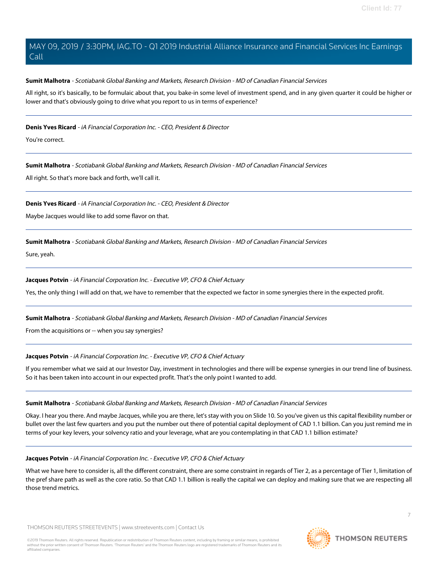### **Sumit Malhotra** - Scotiabank Global Banking and Markets, Research Division - MD of Canadian Financial Services

All right, so it's basically, to be formulaic about that, you bake-in some level of investment spend, and in any given quarter it could be higher or lower and that's obviously going to drive what you report to us in terms of experience?

### **Denis Yves Ricard** - iA Financial Corporation Inc. - CEO, President & Director

You're correct.

**Sumit Malhotra** - Scotiabank Global Banking and Markets, Research Division - MD of Canadian Financial Services

All right. So that's more back and forth, we'll call it.

#### **Denis Yves Ricard** - iA Financial Corporation Inc. - CEO, President & Director

Maybe Jacques would like to add some flavor on that.

## **Sumit Malhotra** - Scotiabank Global Banking and Markets, Research Division - MD of Canadian Financial Services

Sure, yeah.

## **Jacques Potvin** - iA Financial Corporation Inc. - Executive VP, CFO & Chief Actuary

Yes, the only thing I will add on that, we have to remember that the expected we factor in some synergies there in the expected profit.

#### **Sumit Malhotra** - Scotiabank Global Banking and Markets, Research Division - MD of Canadian Financial Services

From the acquisitions or -- when you say synergies?

# **Jacques Potvin** - iA Financial Corporation Inc. - Executive VP, CFO & Chief Actuary

If you remember what we said at our Investor Day, investment in technologies and there will be expense synergies in our trend line of business. So it has been taken into account in our expected profit. That's the only point I wanted to add.

#### **Sumit Malhotra** - Scotiabank Global Banking and Markets, Research Division - MD of Canadian Financial Services

Okay. I hear you there. And maybe Jacques, while you are there, let's stay with you on Slide 10. So you've given us this capital flexibility number or bullet over the last few quarters and you put the number out there of potential capital deployment of CAD 1.1 billion. Can you just remind me in terms of your key levers, your solvency ratio and your leverage, what are you contemplating in that CAD 1.1 billion estimate?

#### **Jacques Potvin** - iA Financial Corporation Inc. - Executive VP, CFO & Chief Actuary

What we have here to consider is, all the different constraint, there are some constraint in regards of Tier 2, as a percentage of Tier 1, limitation of the pref share path as well as the core ratio. So that CAD 1.1 billion is really the capital we can deploy and making sure that we are respecting all those trend metrics.

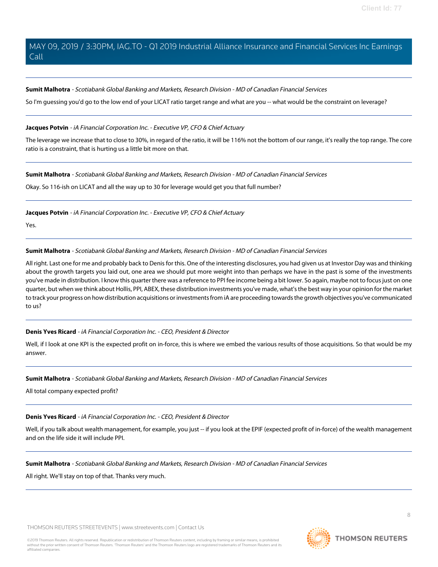#### **Sumit Malhotra** - Scotiabank Global Banking and Markets, Research Division - MD of Canadian Financial Services

So I'm guessing you'd go to the low end of your LICAT ratio target range and what are you -- what would be the constraint on leverage?

#### **Jacques Potvin** - iA Financial Corporation Inc. - Executive VP, CFO & Chief Actuary

The leverage we increase that to close to 30%, in regard of the ratio, it will be 116% not the bottom of our range, it's really the top range. The core ratio is a constraint, that is hurting us a little bit more on that.

#### **Sumit Malhotra** - Scotiabank Global Banking and Markets, Research Division - MD of Canadian Financial Services

Okay. So 116-ish on LICAT and all the way up to 30 for leverage would get you that full number?

**Jacques Potvin** - iA Financial Corporation Inc. - Executive VP, CFO & Chief Actuary

Yes.

#### **Sumit Malhotra** - Scotiabank Global Banking and Markets, Research Division - MD of Canadian Financial Services

All right. Last one for me and probably back to Denis for this. One of the interesting disclosures, you had given us at Investor Day was and thinking about the growth targets you laid out, one area we should put more weight into than perhaps we have in the past is some of the investments you've made in distribution. I know this quarter there was a reference to PPI fee income being a bit lower. So again, maybe not to focus just on one quarter, but when we think about Hollis, PPI, ABEX, these distribution investments you've made, what's the best way in your opinion for the market to track your progress on how distribution acquisitions or investments from iA are proceeding towards the growth objectives you've communicated to us?

#### **Denis Yves Ricard** - iA Financial Corporation Inc. - CEO, President & Director

Well, if I look at one KPI is the expected profit on in-force, this is where we embed the various results of those acquisitions. So that would be my answer.

#### **Sumit Malhotra** - Scotiabank Global Banking and Markets, Research Division - MD of Canadian Financial Services

All total company expected profit?

# **Denis Yves Ricard** - iA Financial Corporation Inc. - CEO, President & Director

Well, if you talk about wealth management, for example, you just -- if you look at the EPIF (expected profit of in-force) of the wealth management and on the life side it will include PPI.

# **Sumit Malhotra** - Scotiabank Global Banking and Markets, Research Division - MD of Canadian Financial Services

All right. We'll stay on top of that. Thanks very much.

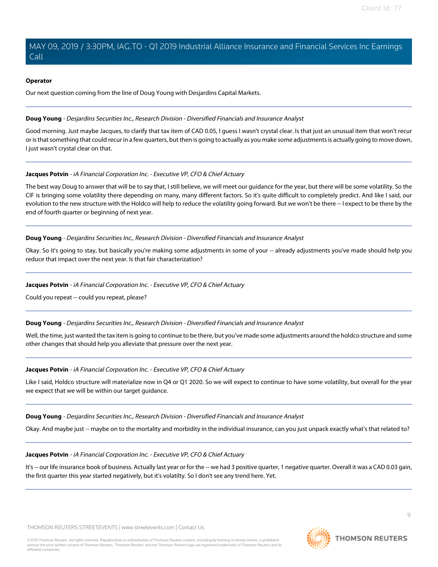#### **Operator**

Our next question coming from the line of Doug Young with Desjardins Capital Markets.

#### <span id="page-8-0"></span>**Doug Young** - Desjardins Securities Inc., Research Division - Diversified Financials and Insurance Analyst

Good morning. Just maybe Jacques, to clarify that tax item of CAD 0.05, I guess I wasn't crystal clear. Is that just an unusual item that won't recur or is that something that could recur in a few quarters, but then is going to actually as you make some adjustments is actually going to move down, I just wasn't crystal clear on that.

#### **Jacques Potvin** - iA Financial Corporation Inc. - Executive VP, CFO & Chief Actuary

The best way Doug to answer that will be to say that, I still believe, we will meet our guidance for the year, but there will be some volatility. So the CIF is bringing some volatility there depending on many, many different factors. So it's quite difficult to completely predict. And like I said, our evolution to the new structure with the Holdco will help to reduce the volatility going forward. But we won't be there -- I expect to be there by the end of fourth quarter or beginning of next year.

#### **Doug Young** - Desjardins Securities Inc., Research Division - Diversified Financials and Insurance Analyst

Okay. So it's going to stay, but basically you're making some adjustments in some of your -- already adjustments you've made should help you reduce that impact over the next year. Is that fair characterization?

#### **Jacques Potvin** - iA Financial Corporation Inc. - Executive VP, CFO & Chief Actuary

Could you repeat -- could you repeat, please?

#### **Doug Young** - Desjardins Securities Inc., Research Division - Diversified Financials and Insurance Analyst

Well, the time, just wanted the tax item is going to continue to be there, but you've made some adjustments around the holdco structure and some other changes that should help you alleviate that pressure over the next year.

#### **Jacques Potvin** - iA Financial Corporation Inc. - Executive VP, CFO & Chief Actuary

Like I said, Holdco structure will materialize now in Q4 or Q1 2020. So we will expect to continue to have some volatility, but overall for the year we expect that we will be within our target guidance.

#### **Doug Young** - Desjardins Securities Inc., Research Division - Diversified Financials and Insurance Analyst

Okay. And maybe just -- maybe on to the mortality and morbidity in the individual insurance, can you just unpack exactly what's that related to?

#### **Jacques Potvin** - iA Financial Corporation Inc. - Executive VP, CFO & Chief Actuary

It's -- our life insurance book of business. Actually last year or for the -- we had 3 positive quarter, 1 negative quarter. Overall it was a CAD 0.03 gain, the first quarter this year started negatively, but it's volatilty. So I don't see any trend here. Yet.

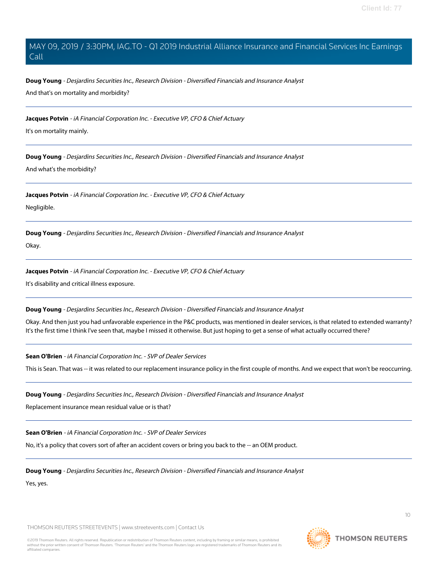**Doug Young** - Desjardins Securities Inc., Research Division - Diversified Financials and Insurance Analyst And that's on mortality and morbidity?

**Jacques Potvin** - iA Financial Corporation Inc. - Executive VP, CFO & Chief Actuary

It's on mortality mainly.

**Doug Young** - Desjardins Securities Inc., Research Division - Diversified Financials and Insurance Analyst

And what's the morbidity?

**Jacques Potvin** - iA Financial Corporation Inc. - Executive VP, CFO & Chief Actuary

Negligible.

**Doug Young** - Desjardins Securities Inc., Research Division - Diversified Financials and Insurance Analyst

Okay.

**Jacques Potvin** - iA Financial Corporation Inc. - Executive VP, CFO & Chief Actuary

It's disability and critical illness exposure.

**Doug Young** - Desjardins Securities Inc., Research Division - Diversified Financials and Insurance Analyst

Okay. And then just you had unfavorable experience in the P&C products, was mentioned in dealer services, is that related to extended warranty? It's the first time I think I've seen that, maybe I missed it otherwise. But just hoping to get a sense of what actually occurred there?

**Sean O'Brien** - iA Financial Corporation Inc. - SVP of Dealer Services

This is Sean. That was -- it was related to our replacement insurance policy in the first couple of months. And we expect that won't be reoccurring.

**Doug Young** - Desjardins Securities Inc., Research Division - Diversified Financials and Insurance Analyst

Replacement insurance mean residual value or is that?

**Sean O'Brien** - iA Financial Corporation Inc. - SVP of Dealer Services

No, it's a policy that covers sort of after an accident covers or bring you back to the -- an OEM product.

**Doug Young** - Desjardins Securities Inc., Research Division - Diversified Financials and Insurance Analyst

Yes, yes.

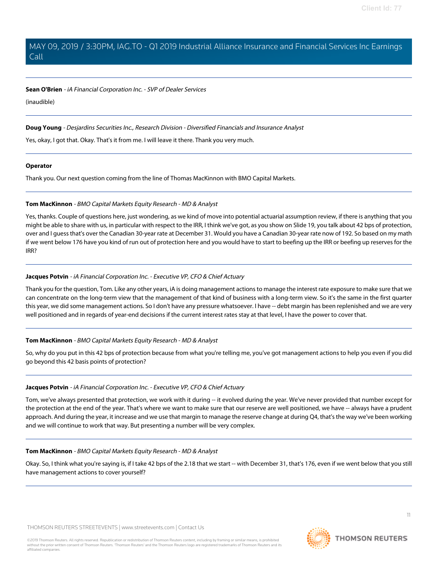#### **Sean O'Brien** - iA Financial Corporation Inc. - SVP of Dealer Services

(inaudible)

### **Doug Young** - Desjardins Securities Inc., Research Division - Diversified Financials and Insurance Analyst

Yes, okay, I got that. Okay. That's it from me. I will leave it there. Thank you very much.

#### **Operator**

<span id="page-10-0"></span>Thank you. Our next question coming from the line of Thomas MacKinnon with BMO Capital Markets.

#### **Tom MacKinnon** - BMO Capital Markets Equity Research - MD & Analyst

Yes, thanks. Couple of questions here, just wondering, as we kind of move into potential actuarial assumption review, if there is anything that you might be able to share with us, in particular with respect to the IRR, I think we've got, as you show on Slide 19, you talk about 42 bps of protection, over and I guess that's over the Canadian 30-year rate at December 31. Would you have a Canadian 30-year rate now of 192. So based on my math if we went below 176 have you kind of run out of protection here and you would have to start to beefing up the IRR or beefing up reserves for the IRR?

## **Jacques Potvin** - iA Financial Corporation Inc. - Executive VP, CFO & Chief Actuary

Thank you for the question, Tom. Like any other years, iA is doing management actions to manage the interest rate exposure to make sure that we can concentrate on the long-term view that the management of that kind of business with a long-term view. So it's the same in the first quarter this year, we did some management actions. So I don't have any pressure whatsoever. I have -- debt margin has been replenished and we are very well positioned and in regards of year-end decisions if the current interest rates stay at that level, I have the power to cover that.

# **Tom MacKinnon** - BMO Capital Markets Equity Research - MD & Analyst

So, why do you put in this 42 bps of protection because from what you're telling me, you've got management actions to help you even if you did go beyond this 42 basis points of protection?

#### **Jacques Potvin** - iA Financial Corporation Inc. - Executive VP, CFO & Chief Actuary

Tom, we've always presented that protection, we work with it during -- it evolved during the year. We've never provided that number except for the protection at the end of the year. That's where we want to make sure that our reserve are well positioned, we have -- always have a prudent approach. And during the year, it increase and we use that margin to manage the reserve change at during Q4, that's the way we've been working and we will continue to work that way. But presenting a number will be very complex.

#### **Tom MacKinnon** - BMO Capital Markets Equity Research - MD & Analyst

Okay. So, I think what you're saying is, if I take 42 bps of the 2.18 that we start -- with December 31, that's 176, even if we went below that you still have management actions to cover yourself?

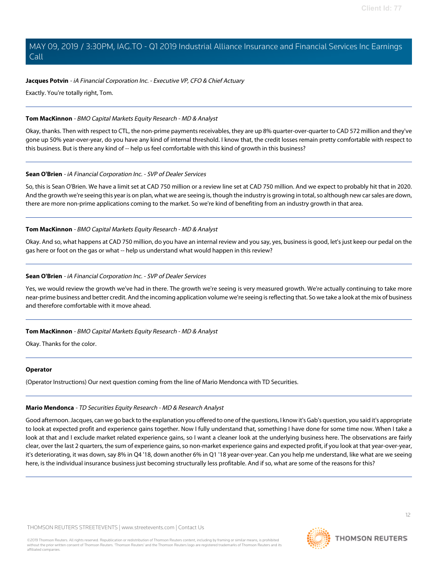### **Jacques Potvin** - iA Financial Corporation Inc. - Executive VP, CFO & Chief Actuary

Exactly. You're totally right, Tom.

### **Tom MacKinnon** - BMO Capital Markets Equity Research - MD & Analyst

Okay, thanks. Then with respect to CTL, the non-prime payments receivables, they are up 8% quarter-over-quarter to CAD 572 million and they've gone up 50% year-over-year, do you have any kind of internal threshold. I know that, the credit losses remain pretty comfortable with respect to this business. But is there any kind of -- help us feel comfortable with this kind of growth in this business?

#### **Sean O'Brien** - iA Financial Corporation Inc. - SVP of Dealer Services

So, this is Sean O'Brien. We have a limit set at CAD 750 million or a review line set at CAD 750 million. And we expect to probably hit that in 2020. And the growth we're seeing this year is on plan, what we are seeing is, though the industry is growing in total, so although new car sales are down, there are more non-prime applications coming to the market. So we're kind of benefiting from an industry growth in that area.

## **Tom MacKinnon** - BMO Capital Markets Equity Research - MD & Analyst

Okay. And so, what happens at CAD 750 million, do you have an internal review and you say, yes, business is good, let's just keep our pedal on the gas here or foot on the gas or what -- help us understand what would happen in this review?

## **Sean O'Brien** - iA Financial Corporation Inc. - SVP of Dealer Services

Yes, we would review the growth we've had in there. The growth we're seeing is very measured growth. We're actually continuing to take more near-prime business and better credit. And the incoming application volume we're seeing is reflecting that. So we take a look at the mix of business and therefore comfortable with it move ahead.

#### **Tom MacKinnon** - BMO Capital Markets Equity Research - MD & Analyst

Okay. Thanks for the color.

#### <span id="page-11-0"></span>**Operator**

(Operator Instructions) Our next question coming from the line of Mario Mendonca with TD Securities.

#### **Mario Mendonca** - TD Securities Equity Research - MD & Research Analyst

Good afternoon. Jacques, can we go back to the explanation you offered to one of the questions, I know it's Gab's question, you said it's appropriate to look at expected profit and experience gains together. Now I fully understand that, something I have done for some time now. When I take a look at that and I exclude market related experience gains, so I want a cleaner look at the underlying business here. The observations are fairly clear, over the last 2 quarters, the sum of experience gains, so non-market experience gains and expected profit, if you look at that year-over-year, it's deteriorating, it was down, say 8% in Q4 '18, down another 6% in Q1 '18 year-over-year. Can you help me understand, like what are we seeing here, is the individual insurance business just becoming structurally less profitable. And if so, what are some of the reasons for this?

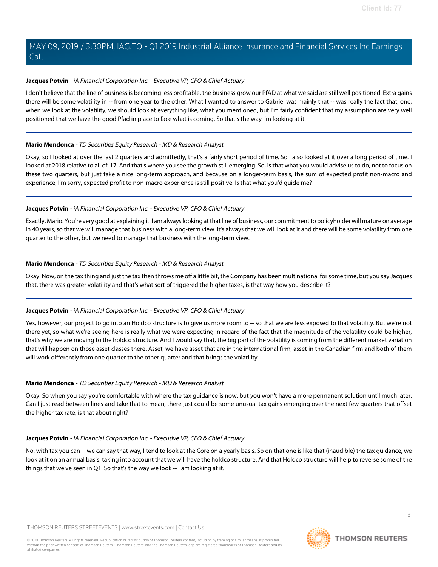## **Jacques Potvin** - iA Financial Corporation Inc. - Executive VP, CFO & Chief Actuary

I don't believe that the line of business is becoming less profitable, the business grow our PfAD at what we said are still well positioned. Extra gains there will be some volatility in -- from one year to the other. What I wanted to answer to Gabriel was mainly that -- was really the fact that, one, when we look at the volatility, we should look at everything like, what you mentioned, but I'm fairly confident that my assumption are very well positioned that we have the good Pfad in place to face what is coming. So that's the way I'm looking at it.

#### **Mario Mendonca** - TD Securities Equity Research - MD & Research Analyst

Okay, so I looked at over the last 2 quarters and admittedly, that's a fairly short period of time. So I also looked at it over a long period of time. I looked at 2018 relative to all of '17. And that's where you see the growth still emerging. So, is that what you would advise us to do, not to focus on these two quarters, but just take a nice long-term approach, and because on a longer-term basis, the sum of expected profit non-macro and experience, I'm sorry, expected profit to non-macro experience is still positive. Is that what you'd guide me?

## **Jacques Potvin** - iA Financial Corporation Inc. - Executive VP, CFO & Chief Actuary

Exactly, Mario. You're very good at explaining it. I am always looking at that line of business, our commitment to policyholder will mature on average in 40 years, so that we will manage that business with a long-term view. It's always that we will look at it and there will be some volatility from one quarter to the other, but we need to manage that business with the long-term view.

## **Mario Mendonca** - TD Securities Equity Research - MD & Research Analyst

Okay. Now, on the tax thing and just the tax then throws me off a little bit, the Company has been multinational for some time, but you say Jacques that, there was greater volatility and that's what sort of triggered the higher taxes, is that way how you describe it?

#### **Jacques Potvin** - iA Financial Corporation Inc. - Executive VP, CFO & Chief Actuary

Yes, however, our project to go into an Holdco structure is to give us more room to -- so that we are less exposed to that volatility. But we're not there yet, so what we're seeing here is really what we were expecting in regard of the fact that the magnitude of the volatility could be higher, that's why we are moving to the holdco structure. And I would say that, the big part of the volatility is coming from the different market variation that will happen on those asset classes there. Asset, we have asset that are in the international firm, asset in the Canadian firm and both of them will work differently from one quarter to the other quarter and that brings the volatility.

#### **Mario Mendonca** - TD Securities Equity Research - MD & Research Analyst

Okay. So when you say you're comfortable with where the tax guidance is now, but you won't have a more permanent solution until much later. Can I just read between lines and take that to mean, there just could be some unusual tax gains emerging over the next few quarters that offset the higher tax rate, is that about right?

#### **Jacques Potvin** - iA Financial Corporation Inc. - Executive VP, CFO & Chief Actuary

No, with tax you can -- we can say that way, I tend to look at the Core on a yearly basis. So on that one is like that (inaudible) the tax quidance, we look at it on an annual basis, taking into account that we will have the holdco structure. And that Holdco structure will help to reverse some of the things that we've seen in Q1. So that's the way we look -- I am looking at it.

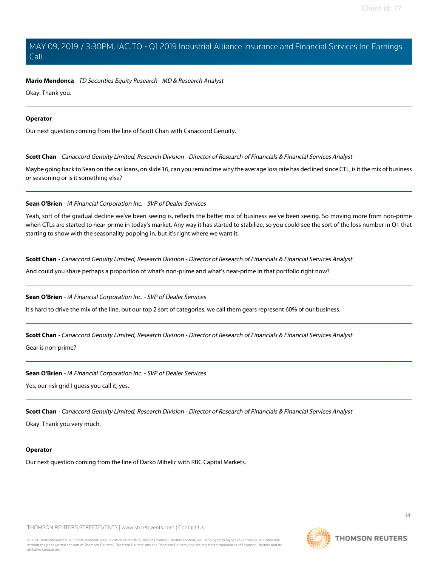#### **Mario Mendonca** - TD Securities Equity Research - MD & Research Analyst

Okay. Thank you.

#### **Operator**

<span id="page-13-0"></span>Our next question coming from the line of Scott Chan with Canaccord Genuity.

**Scott Chan** - Canaccord Genuity Limited, Research Division - Director of Research of Financials & Financial Services Analyst

Maybe going back to Sean on the car loans, on slide 16, can you remind me why the average loss rate has declined since CTL, is it the mix of business or seasoning or is it something else?

#### **Sean O'Brien** - iA Financial Corporation Inc. - SVP of Dealer Services

Yeah, sort of the gradual decline we've been seeing is, reflects the better mix of business we've been seeing. So moving more from non-prime when CTLs are started to near-prime in today's market. Any way it has started to stabilize, so you could see the sort of the loss number in Q1 that starting to show with the seasonality popping in, but it's right where we want it.

**Scott Chan** - Canaccord Genuity Limited, Research Division - Director of Research of Financials & Financial Services Analyst

And could you share perhaps a proportion of what's non-prime and what's near-prime in that portfolio right now?

#### **Sean O'Brien** - iA Financial Corporation Inc. - SVP of Dealer Services

It's hard to drive the mix of the line, but our top 2 sort of categories, we call them gears represent 60% of our business.

**Scott Chan** - Canaccord Genuity Limited, Research Division - Director of Research of Financials & Financial Services Analyst

Gear is non-prime?

#### **Sean O'Brien** - iA Financial Corporation Inc. - SVP of Dealer Services

Yes, our risk grid I guess you call it, yes.

**Scott Chan** - Canaccord Genuity Limited, Research Division - Director of Research of Financials & Financial Services Analyst

Okay. Thank you very much.

#### **Operator**

Our next question coming from the line of Darko Mihelic with RBC Capital Markets.

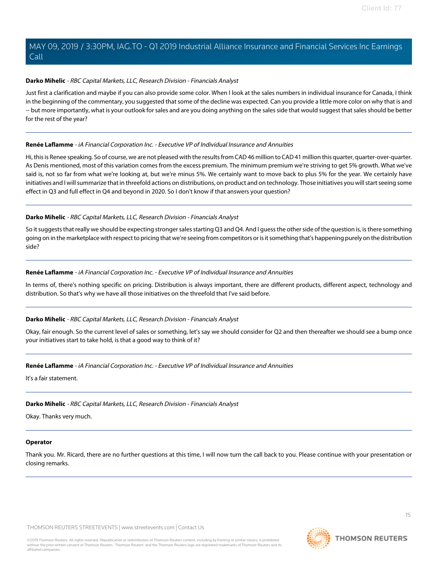### <span id="page-14-1"></span>**Darko Mihelic** - RBC Capital Markets, LLC, Research Division - Financials Analyst

Just first a clarification and maybe if you can also provide some color. When I look at the sales numbers in individual insurance for Canada, I think in the beginning of the commentary, you suggested that some of the decline was expected. Can you provide a little more color on why that is and -- but more importantly, what is your outlook for sales and are you doing anything on the sales side that would suggest that sales should be better for the rest of the year?

#### <span id="page-14-0"></span>**Renée Laflamme** - iA Financial Corporation Inc. - Executive VP of Individual Insurance and Annuities

Hi, this is Renee speaking. So of course, we are not pleased with the results from CAD 46 million to CAD 41 million this quarter, quarter-over-quarter. As Denis mentioned, most of this variation comes from the excess premium. The minimum premium we're striving to get 5% growth. What we've said is, not so far from what we're looking at, but we're minus 5%. We certainly want to move back to plus 5% for the year. We certainly have initiatives and I will summarize that in threefold actions on distributions, on product and on technology. Those initiatives you will start seeing some effect in Q3 and full effect in Q4 and beyond in 2020. So I don't know if that answers your question?

#### **Darko Mihelic** - RBC Capital Markets, LLC, Research Division - Financials Analyst

So it suggests that really we should be expecting stronger sales starting Q3 and Q4. And I guess the other side of the question is, is there something going on in the marketplace with respect to pricing that we're seeing from competitors or is it something that's happening purely on the distribution side?

#### **Renée Laflamme** - iA Financial Corporation Inc. - Executive VP of Individual Insurance and Annuities

In terms of, there's nothing specific on pricing. Distribution is always important, there are different products, different aspect, technology and distribution. So that's why we have all those initiatives on the threefold that I've said before.

#### **Darko Mihelic** - RBC Capital Markets, LLC, Research Division - Financials Analyst

Okay, fair enough. So the current level of sales or something, let's say we should consider for Q2 and then thereafter we should see a bump once your initiatives start to take hold, is that a good way to think of it?

#### **Renée Laflamme** - iA Financial Corporation Inc. - Executive VP of Individual Insurance and Annuities

It's a fair statement.

# **Darko Mihelic** - RBC Capital Markets, LLC, Research Division - Financials Analyst

Okay. Thanks very much.

# **Operator**

Thank you. Mr. Ricard, there are no further questions at this time, I will now turn the call back to you. Please continue with your presentation or closing remarks.